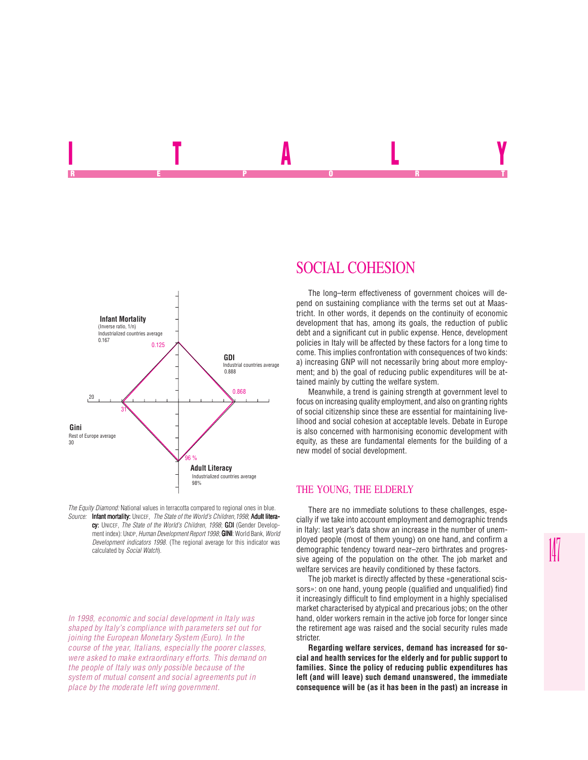



*In 1998, economic and social development in Italy was shaped by Italy's compliance with parameters set out for joining the European Monetary System (Euro). In the course of the year, Italians, especially the poorer classes, were asked to make extraordinary efforts. This demand on the people of Italy was only possible because of the system of mutual consent and social agreements put in place by the moderate left wing government.*

# SOCIAL COHESION

In the second contract of the second contract of the second contract of the second contract of the second contract of the second contract of the second contract of the second contract of the second contract of the second c REPORT OF STATE REPORT OF STATE REPORT OF STATE REPORT OF STATE REPORT OF STATE REPORT OF STATE REPORT OF STATE REPORT OF STATE REPORT OF STATE REPORT OF STATE REPORT OF STATE REPORT OF STATE REPORT OF STATE REPORT OF STAT

> The long–term effectiveness of government choices will depend on sustaining compliance with the terms set out at Maastricht. In other words, it depends on the continuity of economic development that has, among its goals, the reduction of public debt and a significant cut in public expense. Hence, development policies in Italy will be affected by these factors for a long time to come. This implies confrontation with consequences of two kinds: a) increasing GNP will not necessarily bring about more employment; and b) the goal of reducing public expenditures will be attained mainly by cutting the welfare system.

> Meanwhile, a trend is gaining strength at government level to focus on increasing quality employment, and also on granting rights of social citizenship since these are essential for maintaining livelihood and social cohesion at acceptable levels. Debate in Europe is also concerned with harmonising economic development with equity, as these are fundamental elements for the building of a new model of social development.

#### THE YOUNG, THE ELDERLY

There are no immediate solutions to these challenges, especially if we take into account employment and demographic trends in Italy: last year's data show an increase in the number of unemployed people (most of them young) on one hand, and confirm a demographic tendency toward near–zero birthrates and progressive ageing of the population on the other. The job market and welfare services are heavily conditioned by these factors.

The job market is directly affected by these «generational scissors»: on one hand, young people (qualified and unqualified) find it increasingly difficult to find employment in a highly specialised market characterised by atypical and precarious jobs; on the other hand, older workers remain in the active job force for longer since the retirement age was raised and the social security rules made stricter.

**Regarding welfare services, demand has increased for social and health services for the elderly and for public support to families. Since the policy of reducing public expenditures has left (and will leave) such demand unanswered, the immediate consequence will be (as it has been in the past) an increase in**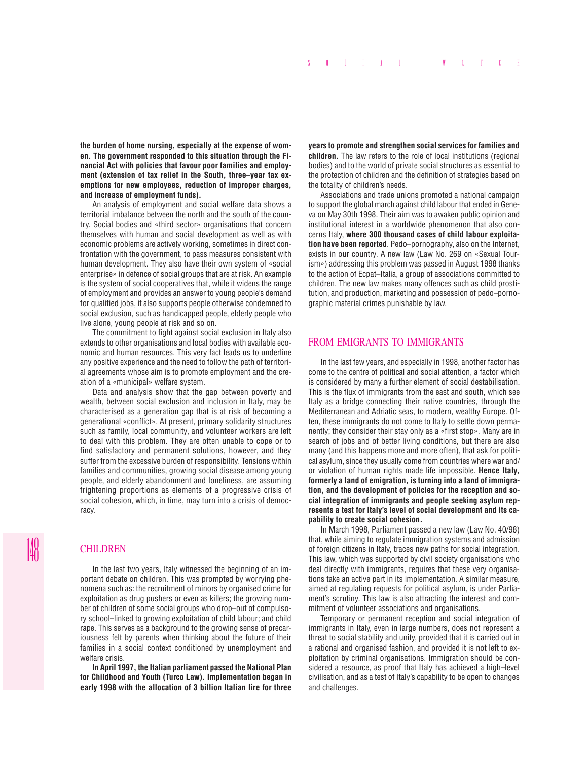**the burden of home nursing, especially at the expense of women. The government responded to this situation through the Financial Act with policies that favour poor families and employment (extension of tax relief in the South, three–year tax exemptions for new employees, reduction of improper charges, and increase of employment funds).**

An analysis of employment and social welfare data shows a territorial imbalance between the north and the south of the country. Social bodies and «third sector» organisations that concern themselves with human and social development as well as with economic problems are actively working, sometimes in direct confrontation with the government, to pass measures consistent with human development. They also have their own system of «social enterprise» in defence of social groups that are at risk. An example is the system of social cooperatives that, while it widens the range of employment and provides an answer to young people's demand for qualified jobs, it also supports people otherwise condemned to social exclusion, such as handicapped people, elderly people who live alone, young people at risk and so on.

The commitment to fight against social exclusion in Italy also extends to other organisations and local bodies with available economic and human resources. This very fact leads us to underline any positive experience and the need to follow the path of territorial agreements whose aim is to promote employment and the creation of a «municipal» welfare system.

Data and analysis show that the gap between poverty and wealth, between social exclusion and inclusion in Italy, may be characterised as a generation gap that is at risk of becoming a generational «conflict». At present, primary solidarity structures such as family, local community, and volunteer workers are left to deal with this problem. They are often unable to cope or to find satisfactory and permanent solutions, however, and they suffer from the excessive burden of responsibility. Tensions within families and communities, growing social disease among young people, and elderly abandonment and loneliness, are assuming frightening proportions as elements of a progressive crisis of social cohesion, which, in time, may turn into a crisis of democracy.

## **CHILDREN**

In the last two years, Italy witnessed the beginning of an important debate on children. This was prompted by worrying phenomena such as: the recruitment of minors by organised crime for exploitation as drug pushers or even as killers; the growing number of children of some social groups who drop–out of compulsory school–linked to growing exploitation of child labour; and child rape. This serves as a background to the growing sense of precariousness felt by parents when thinking about the future of their families in a social context conditioned by unemployment and welfare crisis.

**In April 1997, the Italian parliament passed the National Plan for Childhood and Youth (Turco Law). Implementation began in early 1998 with the allocation of 3 billion Italian lire for three**

**years to promote and strengthen social services for families and children.** The law refers to the role of local institutions (regional bodies) and to the world of private social structures as essential to the protection of children and the definition of strategies based on the totality of children's needs.

Associations and trade unions promoted a national campaign to support the global march against child labour that ended in Geneva on May 30th 1998. Their aim was to awaken public opinion and institutional interest in a worldwide phenomenon that also concerns Italy, **where 300 thousand cases of child labour exploitation have been reported**. Pedo–pornography, also on the Internet, exists in our country. A new law (Law No. 269 on «Sexual Tourism») addressing this problem was passed in August 1998 thanks to the action of Ecpat–Italia, a group of associations committed to children. The new law makes many offences such as child prostitution, and production, marketing and possession of pedo–pornographic material crimes punishable by law.

## FROM EMIGRANTS TO IMMIGRANTS

In the last few years, and especially in 1998, another factor has come to the centre of political and social attention, a factor which is considered by many a further element of social destabilisation. This is the flux of immigrants from the east and south, which see Italy as a bridge connecting their native countries, through the Mediterranean and Adriatic seas, to modern, wealthy Europe. Often, these immigrants do not come to Italy to settle down permanently; they consider their stay only as a «first stop». Many are in search of jobs and of better living conditions, but there are also many (and this happens more and more often), that ask for political asylum, since they usually come from countries where war and/ or violation of human rights made life impossible. **Hence Italy, formerly a land of emigration, is turning into a land of immigration, and the development of policies for the reception and social integration of immigrants and people seeking asylum represents a test for Italy's level of social development and its capability to create social cohesion.**

In March 1998, Parliament passed a new law (Law No. 40/98) that, while aiming to regulate immigration systems and admission of foreign citizens in Italy, traces new paths for social integration. This law, which was supported by civil society organisations who deal directly with immigrants, requires that these very organisations take an active part in its implementation. A similar measure, aimed at regulating requests for political asylum, is under Parliament's scrutiny. This law is also attracting the interest and commitment of volunteer associations and organisations.

Temporary or permanent reception and social integration of immigrants in Italy, even in large numbers, does not represent a threat to social stability and unity, provided that it is carried out in a rational and organised fashion, and provided it is not left to exploitation by criminal organisations. Immigration should be considered a resource, as proof that Italy has achieved a high–level civilisation, and as a test of Italy's capability to be open to changes and challenges.